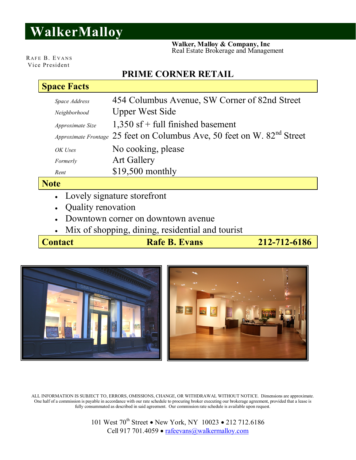# **WalkerMalloy**

 **Walker, Malloy & Company, Inc** Real Estate Brokerage and Management

RAFE B. EVANS Vice President

# **PRIME CORNER RETAIL**

### **Space Facts**

| Space Address    | 454 Columbus Avenue, SW Corner of 82nd Street                                       |  |  |
|------------------|-------------------------------------------------------------------------------------|--|--|
| Neighborhood     | <b>Upper West Side</b>                                                              |  |  |
| Approximate Size | $1,350$ sf + full finished basement                                                 |  |  |
|                  | Approximate Frontage 25 feet on Columbus Ave, 50 feet on W. 82 <sup>nd</sup> Street |  |  |
| OK Uses          | No cooking, please                                                                  |  |  |
| Formerly         | <b>Art Gallery</b>                                                                  |  |  |
| Rent             | $$19,500$ monthly                                                                   |  |  |

# **Note**

- Lovely signature storefront
- Quality renovation
- Downtown corner on downtown avenue
- Mix of shopping, dining, residential and tourist

**Contact Rafe B. Evans** 212-712-6186



ALL INFORMATION IS SUBJECT TO, ERRORS, OMISSIONS, CHANGE, OR WITHDRAWAL WITHOUT NOTICE. Dimensions are approximate. One half of a commission is payable in accordance with our rate schedule to procuring broker executing our brokerage agreement, provided that a lease is fully consummated as described in said agreement. Our commission rate schedule is available upon request.

> 101 West 70<sup>th</sup> Street • New York, NY 10023 • 212 712.6186 Cell 917 701.4059 · rafeevans@walkermalloy.com